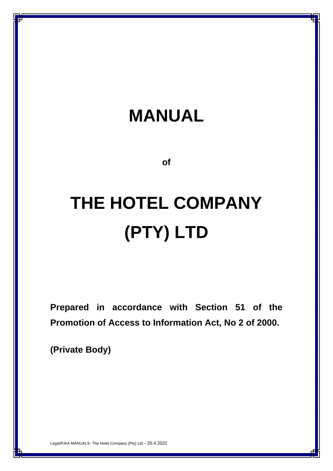## **MANUAL**

**of**

# **THE HOTEL COMPANY (PTY) LTD**

**Prepared in accordance with Section 51 of the Promotion of Access to Information Act, No 2 of 2000.**

**(Private Body)**

Legal/PAIA MANUALS- The Hotel Company (Pty) Ltd – 20.4.2022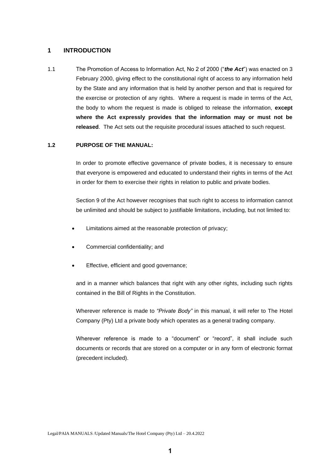## **1 INTRODUCTION**

1.1 The Promotion of Access to Information Act, No 2 of 2000 ("*the Act*") was enacted on 3 February 2000, giving effect to the constitutional right of access to any information held by the State and any information that is held by another person and that is required for the exercise or protection of any rights. Where a request is made in terms of the Act, the body to whom the request is made is obliged to release the information, **except where the Act expressly provides that the information may or must not be released**. The Act sets out the requisite procedural issues attached to such request.

## **1.2 PURPOSE OF THE MANUAL:**

In order to promote effective governance of private bodies, it is necessary to ensure that everyone is empowered and educated to understand their rights in terms of the Act in order for them to exercise their rights in relation to public and private bodies.

Section 9 of the Act however recognises that such right to access to information cannot be unlimited and should be subject to justifiable limitations, including, but not limited to:

- Limitations aimed at the reasonable protection of privacy;
- Commercial confidentiality; and
- Effective, efficient and good governance;

and in a manner which balances that right with any other rights, including such rights contained in the Bill of Rights in the Constitution.

Wherever reference is made to *"Private Body"* in this manual, it will refer to The Hotel Company (Pty) Ltd a private body which operates as a general trading company.

Wherever reference is made to a "document" or "record", it shall include such documents or records that are stored on a computer or in any form of electronic format (precedent included).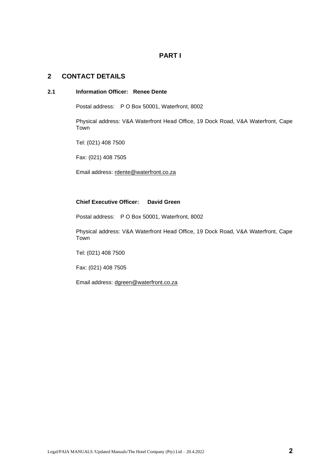## **PART I**

## **2 CONTACT DETAILS**

#### **2.1 Information Officer: Renee Dente**

Postal address: P O Box 50001, Waterfront, 8002

Physical address: V&A Waterfront Head Office, 19 Dock Road, V&A Waterfront, Cape Town

Tel: (021) 408 7500

Fax: (021) 408 7505

Email address: [rdente@waterfront.co.za](mailto:rdente@waterfront.co.za)

## **Chief Executive Officer: David Green**

Postal address: P O Box 50001, Waterfront, 8002

Physical address: V&A Waterfront Head Office, 19 Dock Road, V&A Waterfront, Cape Town

Tel: (021) 408 7500

Fax: (021) 408 7505

Email address: [dgreen@waterfront.co.za](mailto:dgreen@waterfront.co.za)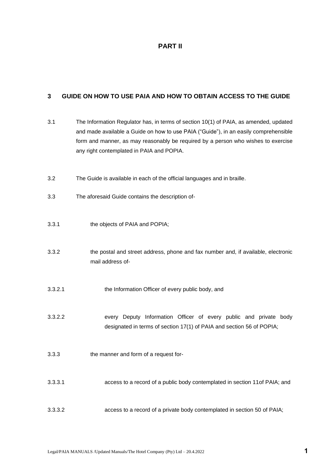## **PART II**

## **3 GUIDE ON HOW TO USE PAIA AND HOW TO OBTAIN ACCESS TO THE GUIDE**

| 3.1     | The Information Regulator has, in terms of section 10(1) of PAIA, as amended, updated<br>and made available a Guide on how to use PAIA ("Guide"), in an easily comprehensible<br>form and manner, as may reasonably be required by a person who wishes to exercise<br>any right contemplated in PAIA and POPIA. |
|---------|-----------------------------------------------------------------------------------------------------------------------------------------------------------------------------------------------------------------------------------------------------------------------------------------------------------------|
| 3.2     | The Guide is available in each of the official languages and in braille.                                                                                                                                                                                                                                        |
| 3.3     | The aforesaid Guide contains the description of-                                                                                                                                                                                                                                                                |
| 3.3.1   | the objects of PAIA and POPIA;                                                                                                                                                                                                                                                                                  |
| 3.3.2   | the postal and street address, phone and fax number and, if available, electronic<br>mail address of-                                                                                                                                                                                                           |
| 3.3.2.1 | the Information Officer of every public body, and                                                                                                                                                                                                                                                               |
| 3.3.2.2 | every Deputy Information Officer of every public and private body<br>designated in terms of section 17(1) of PAIA and section 56 of POPIA;                                                                                                                                                                      |
| 3.3.3   | the manner and form of a request for-                                                                                                                                                                                                                                                                           |
| 3.3.3.1 | access to a record of a public body contemplated in section 11of PAIA; and                                                                                                                                                                                                                                      |
| 3.3.3.2 | access to a record of a private body contemplated in section 50 of PAIA;                                                                                                                                                                                                                                        |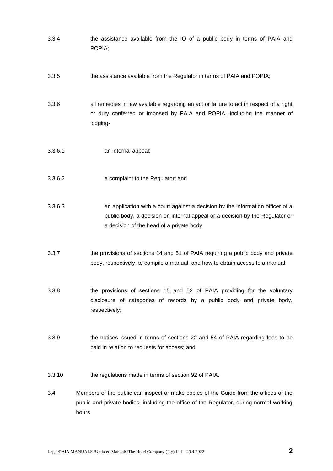|         | POPIA;                                                                                                                                                                                                      |
|---------|-------------------------------------------------------------------------------------------------------------------------------------------------------------------------------------------------------------|
| 3.3.5   | the assistance available from the Regulator in terms of PAIA and POPIA;                                                                                                                                     |
| 3.3.6   | all remedies in law available regarding an act or failure to act in respect of a right<br>or duty conferred or imposed by PAIA and POPIA, including the manner of<br>lodging-                               |
| 3.3.6.1 | an internal appeal;                                                                                                                                                                                         |
| 3.3.6.2 | a complaint to the Regulator; and                                                                                                                                                                           |
| 3.3.6.3 | an application with a court against a decision by the information officer of a<br>public body, a decision on internal appeal or a decision by the Regulator or<br>a decision of the head of a private body; |
| 3.3.7   | the provisions of sections 14 and 51 of PAIA requiring a public body and private<br>body, respectively, to compile a manual, and how to obtain access to a manual;                                          |
| 3.3.8   | the provisions of sections 15 and 52 of PAIA providing for the voluntary<br>disclosure of categories of records by a public body and private body,<br>respectively;                                         |
| 3.3.9   | the notices issued in terms of sections 22 and 54 of PAIA regarding fees to be<br>paid in relation to requests for access; and                                                                              |
| 3.3.10  | the regulations made in terms of section 92 of PAIA.                                                                                                                                                        |
| 3.4     | Members of the public can inspect or make copies of the Guide from the offices of the<br>and private bodies, including the effice of the Dequision during permal weeking                                    |

3.3.4 the assistance available from the IO of a public body in terms of PAIA and

public and private bodies, including the office of the Regulator, during normal working hours.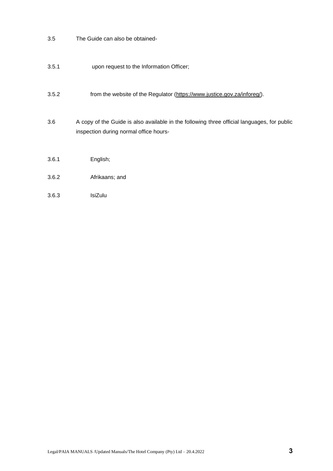- 3.5 The Guide can also be obtained-
- 3.5.1 upon request to the Information Officer;
- 3.5.2 from the website of the Regulator [\(https://www.justice.gov.za/inforeg/\)](https://www.justice.gov.za/inforeg/).
- 3.6 A copy of the Guide is also available in the following three official languages, for public inspection during normal office hours-
- 3.6.1 English;
- 3.6.2 Afrikaans; and
- 3.6.3 IsiZulu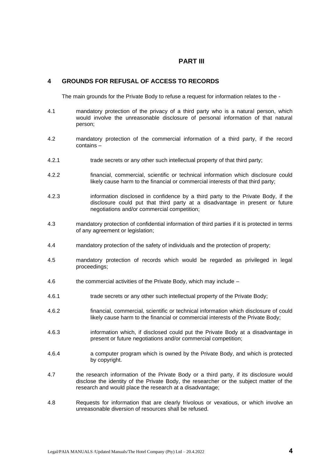## **PART III**

## **4 GROUNDS FOR REFUSAL OF ACCESS TO RECORDS**

The main grounds for the Private Body to refuse a request for information relates to the -

- 4.1 mandatory protection of the privacy of a third party who is a natural person, which would involve the unreasonable disclosure of personal information of that natural person;
- 4.2 mandatory protection of the commercial information of a third party, if the record contains –
- 4.2.1 trade secrets or any other such intellectual property of that third party;
- 4.2.2 financial, commercial, scientific or technical information which disclosure could likely cause harm to the financial or commercial interests of that third party;
- 4.2.3 information disclosed in confidence by a third party to the Private Body, if the disclosure could put that third party at a disadvantage in present or future negotiations and/or commercial competition;
- 4.3 mandatory protection of confidential information of third parties if it is protected in terms of any agreement or legislation;
- 4.4 mandatory protection of the safety of individuals and the protection of property;
- 4.5 mandatory protection of records which would be regarded as privileged in legal proceedings;
- 4.6 the commercial activities of the Private Body, which may include –
- 4.6.1 trade secrets or any other such intellectual property of the Private Body;
- 4.6.2 financial, commercial, scientific or technical information which disclosure of could likely cause harm to the financial or commercial interests of the Private Body;
- 4.6.3 information which, if disclosed could put the Private Body at a disadvantage in present or future negotiations and/or commercial competition;
- 4.6.4 a computer program which is owned by the Private Body, and which is protected by copyright.
- 4.7 the research information of the Private Body or a third party, if its disclosure would disclose the identity of the Private Body, the researcher or the subject matter of the research and would place the research at a disadvantage;
- 4.8 Requests for information that are clearly frivolous or vexatious, or which involve an unreasonable diversion of resources shall be refused.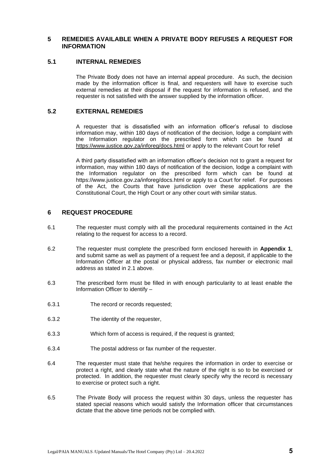## **5 REMEDIES AVAILABLE WHEN A PRIVATE BODY REFUSES A REQUEST FOR INFORMATION**

#### **5.1 INTERNAL REMEDIES**

The Private Body does not have an internal appeal procedure. As such, the decision made by the information officer is final, and requesters will have to exercise such external remedies at their disposal if the request for information is refused, and the requester is not satisfied with the answer supplied by the information officer.

## **5.2 EXTERNAL REMEDIES**

A requester that is dissatisfied with an information officer's refusal to disclose information may, within 180 days of notification of the decision, lodge a complaint with the Information regulator on the prescribed form which can be found at <https://www.justice.gov.za/inforeg/docs.html> or apply to the relevant Court for relief

A third party dissatisfied with an information officer's decision not to grant a request for information, may within 180 days of notification of the decision, lodge a complaint with the Information regulator on the prescribed form which can be found at https://www.justice.gov.za/inforeg/docs.html or apply to a Court for relief. For purposes of the Act, the Courts that have jurisdiction over these applications are the Constitutional Court, the High Court or any other court with similar status.

## **6 REQUEST PROCEDURE**

- 6.1 The requester must comply with all the procedural requirements contained in the Act relating to the request for access to a record.
- 6.2 The requester must complete the prescribed form enclosed herewith in **Appendix 1**, and submit same as well as payment of a request fee and a deposit, if applicable to the Information Officer at the postal or physical address, fax number or electronic mail address as stated in 2.1 above.
- 6.3 The prescribed form must be filled in with enough particularity to at least enable the Information Officer to identify –
- 6.3.1 The record or records requested;
- 6.3.2 The identity of the requester,
- 6.3.3 Which form of access is required, if the request is granted;
- 6.3.4 The postal address or fax number of the requester.
- 6.4 The requester must state that he/she requires the information in order to exercise or protect a right, and clearly state what the nature of the right is so to be exercised or protected. In addition, the requester must clearly specify why the record is necessary to exercise or protect such a right.
- 6.5 The Private Body will process the request within 30 days, unless the requester has stated special reasons which would satisfy the Information officer that circumstances dictate that the above time periods not be complied with.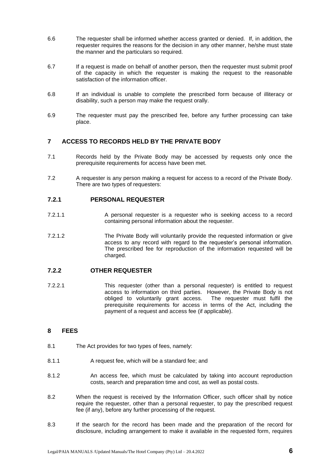- 6.6 The requester shall be informed whether access granted or denied. If, in addition, the requester requires the reasons for the decision in any other manner, he/she must state the manner and the particulars so required.
- 6.7 If a request is made on behalf of another person, then the requester must submit proof of the capacity in which the requester is making the request to the reasonable satisfaction of the information officer.
- 6.8 If an individual is unable to complete the prescribed form because of illiteracy or disability, such a person may make the request orally.
- 6.9 The requester must pay the prescribed fee, before any further processing can take place.

## **7 ACCESS TO RECORDS HELD BY THE PRIVATE BODY**

- 7.1 Records held by the Private Body may be accessed by requests only once the prerequisite requirements for access have been met.
- 7.2 A requester is any person making a request for access to a record of the Private Body. There are two types of requesters:

## **7.2.1 PERSONAL REQUESTER**

- 7.2.1.1 A personal requester is a requester who is seeking access to a record containing personal information about the requester.
- 7.2.1.2 The Private Body will voluntarily provide the requested information or give access to any record with regard to the requester's personal information. The prescribed fee for reproduction of the information requested will be charged.

## **7.2.2 OTHER REQUESTER**

7.2.2.1 This requester (other than a personal requester) is entitled to request access to information on third parties. However, the Private Body is not obliged to voluntarily grant access. The requester must fulfil the prerequisite requirements for access in terms of the Act, including the payment of a request and access fee (if applicable).

## **8 FEES**

- 8.1 The Act provides for two types of fees, namely:
- 8.1.1 A request fee, which will be a standard fee; and
- 8.1.2 An access fee, which must be calculated by taking into account reproduction costs, search and preparation time and cost, as well as postal costs.
- 8.2 When the request is received by the Information Officer, such officer shall by notice require the requester, other than a personal requester, to pay the prescribed request fee (if any), before any further processing of the request.
- 8.3 If the search for the record has been made and the preparation of the record for disclosure, including arrangement to make it available in the requested form, requires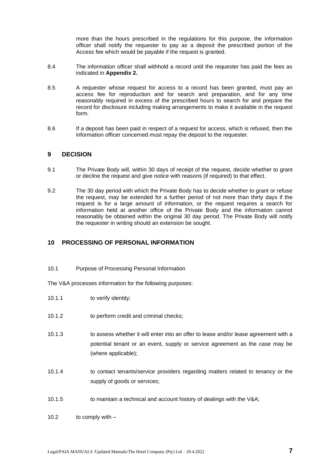more than the hours prescribed in the regulations for this purpose, the information officer shall notify the requester to pay as a deposit the prescribed portion of the Access fee which would be payable if the request is granted.

- 8.4 The information officer shall withhold a record until the requester has paid the fees as indicated in **Appendix 2.**
- 8.5 A requester whose request for access to a record has been granted, must pay an access fee for reproduction and for search and preparation, and for any time reasonably required in excess of the prescribed hours to search for and prepare the record for disclosure including making arrangements to make it available in the request form.
- 8.6 If a deposit has been paid in respect of a request for access, which is refused, then the information officer concerned must repay the deposit to the requester.

## **9 DECISION**

- 9.1 The Private Body will, within 30 days of receipt of the request, decide whether to grant or decline the request and give notice with reasons (if required) to that effect.
- 9.2 The 30 day period with which the Private Body has to decide whether to grant or refuse the request, may be extended for a further period of not more than thirty days if the request is for a large amount of information, or the request requires a search for information held at another office of the Private Body and the information cannot reasonably be obtained within the original 30 day period. The Private Body will notify the requester in writing should an extension be sought.

## **10 PROCESSING OF PERSONAL INFORMATION**

10.1 Purpose of Processing Personal Information

The V&A processes information for the following purposes:

- 10.1.1 to verify identity;
- 10.1.2 to perform credit and criminal checks;
- 10.1.3 to assess whether it will enter into an offer to lease and/or lease agreement with a potential tenant or an event, supply or service agreement as the case may be (where applicable);
- 10.1.4 to contact tenants/service providers regarding matters related to tenancy or the supply of goods or services;
- 10.1.5 to maintain a technical and account history of dealings with the V&A;

10.2 to comply with –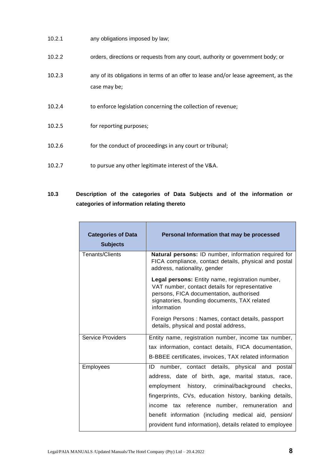| 10.2.1 | any obligations imposed by law;                                                                     |
|--------|-----------------------------------------------------------------------------------------------------|
| 10.2.2 | orders, directions or requests from any court, authority or government body; or                     |
| 10.2.3 | any of its obligations in terms of an offer to lease and/or lease agreement, as the<br>case may be; |
| 10.2.4 | to enforce legislation concerning the collection of revenue;                                        |
| 10.2.5 | for reporting purposes;                                                                             |
| 10.2.6 | for the conduct of proceedings in any court or tribunal;                                            |
| 10.2.7 | to pursue any other legitimate interest of the V&A.                                                 |

## **10.3 Description of the categories of Data Subjects and of the information or categories of information relating thereto**

| <b>Categories of Data</b><br><b>Subjects</b> | Personal Information that may be processed                                                                                                                                                                   |  |  |  |  |  |
|----------------------------------------------|--------------------------------------------------------------------------------------------------------------------------------------------------------------------------------------------------------------|--|--|--|--|--|
| Tenants/Clients                              | Natural persons: ID number, information required for<br>FICA compliance, contact details, physical and postal<br>address, nationality, gender                                                                |  |  |  |  |  |
|                                              | Legal persons: Entity name, registration number,<br>VAT number, contact details for representative<br>persons, FICA documentation, authorised<br>signatories, founding documents, TAX related<br>information |  |  |  |  |  |
|                                              | Foreign Persons: Names, contact details, passport<br>details, physical and postal address,                                                                                                                   |  |  |  |  |  |
| <b>Service Providers</b>                     | Entity name, registration number, income tax number,                                                                                                                                                         |  |  |  |  |  |
|                                              | tax information, contact details, FICA documentation,                                                                                                                                                        |  |  |  |  |  |
|                                              | B-BBEE certificates, invoices, TAX related information                                                                                                                                                       |  |  |  |  |  |
| Employees                                    | ID number, contact details, physical and postal                                                                                                                                                              |  |  |  |  |  |
|                                              | address, date of birth, age, marital status, race,                                                                                                                                                           |  |  |  |  |  |
|                                              | employment history, criminal/background checks,                                                                                                                                                              |  |  |  |  |  |
|                                              | fingerprints, CVs, education history, banking details,                                                                                                                                                       |  |  |  |  |  |
|                                              | income tax reference number, remuneration and                                                                                                                                                                |  |  |  |  |  |
|                                              | benefit information (including medical aid, pension/                                                                                                                                                         |  |  |  |  |  |
|                                              | provident fund information), details related to employee                                                                                                                                                     |  |  |  |  |  |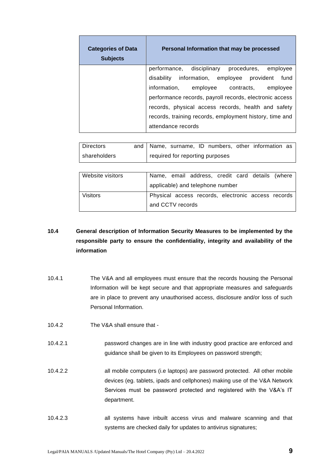| <b>Categories of Data</b><br><b>Subjects</b> | Personal Information that may be processed              |
|----------------------------------------------|---------------------------------------------------------|
|                                              | performance, disciplinary procedures, employee          |
|                                              | disability information, employee provident fund         |
|                                              | information, employee contracts, employee               |
|                                              | performance records, payroll records, electronic access |
|                                              | records, physical access records, health and safety     |
|                                              | records, training records, employment history, time and |
|                                              | attendance records                                      |

| l Directors    |  |                                 |  | and   Name, surname, ID numbers, other information as |  |
|----------------|--|---------------------------------|--|-------------------------------------------------------|--|
| l shareholders |  | required for reporting purposes |  |                                                       |  |

| Website visitors |                  | Name, email address, credit card details (where    |  |  |
|------------------|------------------|----------------------------------------------------|--|--|
|                  |                  | applicable) and telephone number                   |  |  |
| <b>Visitors</b>  |                  | Physical access records, electronic access records |  |  |
|                  | and CCTV records |                                                    |  |  |

## **10.4 General description of Information Security Measures to be implemented by the responsible party to ensure the confidentiality, integrity and availability of the information**

- 10.4.1 The V&A and all employees must ensure that the records housing the Personal Information will be kept secure and that appropriate measures and safeguards are in place to prevent any unauthorised access, disclosure and/or loss of such Personal Information.
- 10.4.2 The V&A shall ensure that -
- 10.4.2.1 password changes are in line with industry good practice are enforced and guidance shall be given to its Employees on password strength;
- 10.4.2.2 all mobile computers (i.e laptops) are password protected. All other mobile devices (eg. tablets, ipads and cellphones) making use of the V&A Network Services must be password protected and registered with the V&A's IT department.
- 10.4.2.3 all systems have inbuilt access virus and malware scanning and that systems are checked daily for updates to antivirus signatures;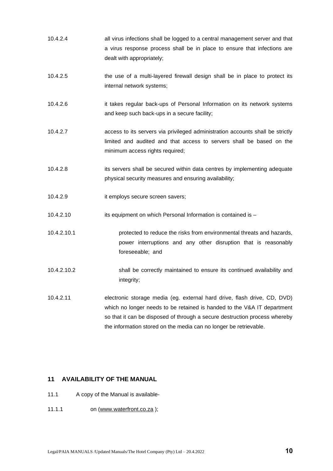- 10.4.2.4 all virus infections shall be logged to a central management server and that a virus response process shall be in place to ensure that infections are dealt with appropriately;
- 10.4.2.5 the use of a multi-layered firewall design shall be in place to protect its internal network systems;
- 10.4.2.6 it takes regular back-ups of Personal Information on its network systems and keep such back-ups in a secure facility;
- 10.4.2.7 access to its servers via privileged administration accounts shall be strictly limited and audited and that access to servers shall be based on the minimum access rights required;
- 10.4.2.8 its servers shall be secured within data centres by implementing adequate physical security measures and ensuring availability;
- 10.4.2.9 it employs secure screen savers;
- 10.4.2.10 its equipment on which Personal Information is contained is –
- 10.4.2.10.1 protected to reduce the risks from environmental threats and hazards, power interruptions and any other disruption that is reasonably foreseeable; and
- 10.4.2.10.2 shall be correctly maintained to ensure its continued availability and integrity;
- 10.4.2.11 electronic storage media (eg. external hard drive, flash drive, CD, DVD) which no longer needs to be retained is handed to the V&A IT department so that it can be disposed of through a secure destruction process whereby the information stored on the media can no longer be retrievable.

## **11 AVAILABILITY OF THE MANUAL**

- 11.1 A copy of the Manual is available-
- 11.1.1 on [\(www.waterfront.co.za](http://www.waterfront.co.za/) );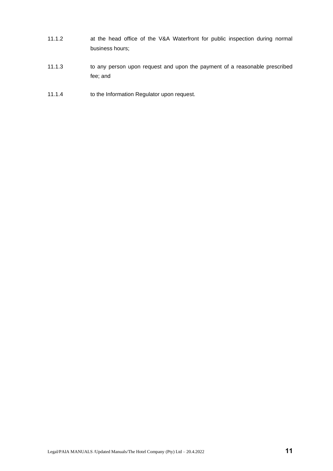- 11.1.2 at the head office of the V&A Waterfront for public inspection during normal business hours;
- 11.1.3 to any person upon request and upon the payment of a reasonable prescribed fee; and
- 11.1.4 to the Information Regulator upon request.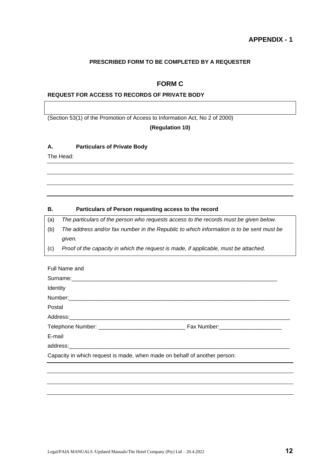## **PRESCRIBED FORM TO BE COMPLETED BY A REQUESTER**

## **FORM C**

## **REQUEST FOR ACCESS TO RECORDS OF PRIVATE BODY**

(Section 53(1) of the Promotion of Access to Information Act, No 2 of 2000)

#### **(Regulation 10)**

#### **A. Particulars of Private Body**

The Head:

#### **B. Particulars of Person requesting access to the record**

(a) *The particulars of the person who requests access to the records must be given below.*

- (b) *The address and/or fax number in the Republic to which information is to be sent must be given.*
- (c) *Proof of the capacity in which the request is made, if applicable, must be attached.*

| Full Name and                                                             |  |
|---------------------------------------------------------------------------|--|
|                                                                           |  |
| Identity                                                                  |  |
|                                                                           |  |
| Postal                                                                    |  |
|                                                                           |  |
|                                                                           |  |
| E-mail                                                                    |  |
|                                                                           |  |
| Capacity in which request is made, when made on behalf of another person: |  |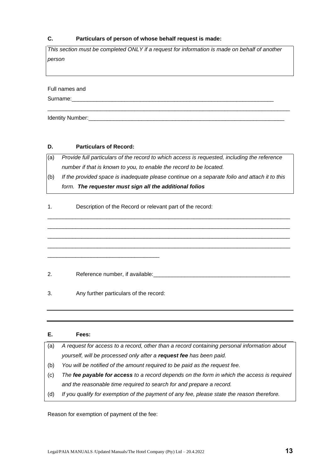## **C. Particulars of person of whose behalf request is made:**

*This section must be completed ONLY if a request for information is made on behalf of another person* 

\_\_\_\_\_\_\_\_\_\_\_\_\_\_\_\_\_\_\_\_\_\_\_\_\_\_\_\_\_\_\_\_\_\_\_\_\_\_\_\_\_\_\_\_\_\_\_\_\_\_\_\_\_\_\_\_\_\_\_\_\_\_\_\_\_\_\_\_\_\_\_\_\_\_\_\_\_\_

Full names and

Surname:

Identity Number:

## **D. Particulars of Record:**

(a) *Provide full particulars of the record to which access is requested, including the reference number if that is known to you, to enable the record to be located.*

(b) *If the provided space is inadequate please continue on a separate folio and attach it to this form. The requester must sign all the additional folios*

\_\_\_\_\_\_\_\_\_\_\_\_\_\_\_\_\_\_\_\_\_\_\_\_\_\_\_\_\_\_\_\_\_\_\_\_\_\_\_\_\_\_\_\_\_\_\_\_\_\_\_\_\_\_\_\_\_\_\_\_\_\_\_\_\_\_\_\_\_\_\_\_\_\_\_\_\_\_ \_\_\_\_\_\_\_\_\_\_\_\_\_\_\_\_\_\_\_\_\_\_\_\_\_\_\_\_\_\_\_\_\_\_\_\_\_\_\_\_\_\_\_\_\_\_\_\_\_\_\_\_\_\_\_\_\_\_\_\_\_\_\_\_\_\_\_\_\_\_\_\_\_\_\_\_\_\_ \_\_\_\_\_\_\_\_\_\_\_\_\_\_\_\_\_\_\_\_\_\_\_\_\_\_\_\_\_\_\_\_\_\_\_\_\_\_\_\_\_\_\_\_\_\_\_\_\_\_\_\_\_\_\_\_\_\_\_\_\_\_\_\_\_\_\_\_\_\_\_\_\_\_\_\_\_\_ \_\_\_\_\_\_\_\_\_\_\_\_\_\_\_\_\_\_\_\_\_\_\_\_\_\_\_\_\_\_\_\_\_\_\_\_\_\_\_\_\_\_\_\_\_\_\_\_\_\_\_\_\_\_\_\_\_\_\_\_\_\_\_\_\_\_\_\_\_\_\_\_\_\_\_\_\_\_

1. Description of the Record or relevant part of the record:

2. Reference number, if available:

3. Any further particulars of the record:

\_\_\_\_\_\_\_\_\_\_\_\_\_\_\_\_\_\_\_\_\_\_\_\_\_\_\_\_\_\_\_\_\_\_\_\_

| Е.  | Fees:                                                                                       |
|-----|---------------------------------------------------------------------------------------------|
| (a) | A request for access to a record, other than a record containing personal information about |
|     | yourself, will be processed only after a request fee has been paid.                         |
| (b) | You will be notified of the amount required to be paid as the request fee.                  |
| (c) | The fee payable for access to a record depends on the form in which the access is required  |
|     | and the reasonable time required to search for and prepare a record.                        |
| (d) | If you qualify for exemption of the payment of any fee, please state the reason therefore.  |

Reason for exemption of payment of the fee: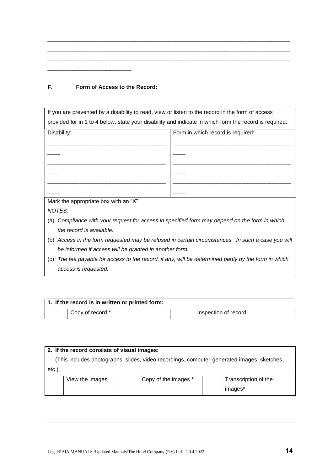| F. |  |  | Form of Access to the Record: |  |
|----|--|--|-------------------------------|--|
|    |  |  |                               |  |

\_\_\_\_\_\_\_\_\_\_\_\_\_\_\_\_\_\_\_\_\_\_\_\_\_\_\_

| If you are prevented by a disability to read, view or listen to the record in the form of access        |                                                                                               |  |  |  |  |  |
|---------------------------------------------------------------------------------------------------------|-----------------------------------------------------------------------------------------------|--|--|--|--|--|
| provided for in 1 to 4 below, state your disability and indicate in which form the record is required.  |                                                                                               |  |  |  |  |  |
| Disability:                                                                                             | Form in which record is required:                                                             |  |  |  |  |  |
|                                                                                                         |                                                                                               |  |  |  |  |  |
|                                                                                                         |                                                                                               |  |  |  |  |  |
|                                                                                                         |                                                                                               |  |  |  |  |  |
|                                                                                                         |                                                                                               |  |  |  |  |  |
|                                                                                                         |                                                                                               |  |  |  |  |  |
|                                                                                                         |                                                                                               |  |  |  |  |  |
| Mark the appropriate box with an "X"                                                                    |                                                                                               |  |  |  |  |  |
| NOTES:                                                                                                  |                                                                                               |  |  |  |  |  |
| (a)                                                                                                     | Compliance with your request for access in specified form may depend on the form in which     |  |  |  |  |  |
| the record is available.                                                                                |                                                                                               |  |  |  |  |  |
| (b)                                                                                                     | Access in the form requested may be refused in certain circumstances. In such a case you will |  |  |  |  |  |
| be informed if access will be granted in another form.                                                  |                                                                                               |  |  |  |  |  |
| The fee payable for access to the record, if any, will be determined partly by the form in which<br>(c) |                                                                                               |  |  |  |  |  |
| access is requested.                                                                                    |                                                                                               |  |  |  |  |  |
|                                                                                                         |                                                                                               |  |  |  |  |  |

\_\_\_\_\_\_\_\_\_\_\_\_\_\_\_\_\_\_\_\_\_\_\_\_\_\_\_\_\_\_\_\_\_\_\_\_\_\_\_\_\_\_\_\_\_\_\_\_\_\_\_\_\_\_\_\_\_\_\_\_\_\_\_\_\_\_\_\_\_\_\_\_\_\_\_\_\_\_ \_\_\_\_\_\_\_\_\_\_\_\_\_\_\_\_\_\_\_\_\_\_\_\_\_\_\_\_\_\_\_\_\_\_\_\_\_\_\_\_\_\_\_\_\_\_\_\_\_\_\_\_\_\_\_\_\_\_\_\_\_\_\_\_\_\_\_\_\_\_\_\_\_\_\_\_\_\_ \_\_\_\_\_\_\_\_\_\_\_\_\_\_\_\_\_\_\_\_\_\_\_\_\_\_\_\_\_\_\_\_\_\_\_\_\_\_\_\_\_\_\_\_\_\_\_\_\_\_\_\_\_\_\_\_\_\_\_\_\_\_\_\_\_\_\_\_\_\_\_\_\_\_\_\_\_\_

| 1. If the record is in written or printed form: |                  |  |                      |  |
|-------------------------------------------------|------------------|--|----------------------|--|
|                                                 | Copy of record * |  | Inspection of record |  |

| 2. If the record consists of visual images:                                                |                 |  |                      |  |                      |
|--------------------------------------------------------------------------------------------|-----------------|--|----------------------|--|----------------------|
| (This includes photographs, slides, video recordings, computer-generated images, sketches, |                 |  |                      |  |                      |
| etc.                                                                                       |                 |  |                      |  |                      |
|                                                                                            | View the images |  | Copy of the images * |  | Transcription of the |
|                                                                                            |                 |  |                      |  | images*              |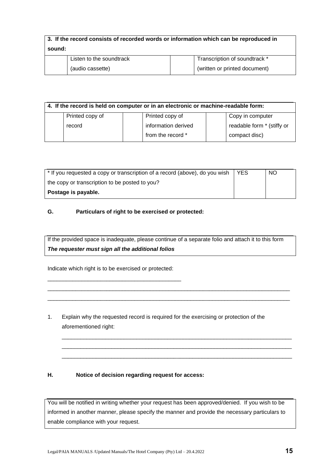| 3. If the record consists of recorded words or information which can be reproduced in |                          |                               |  |  |
|---------------------------------------------------------------------------------------|--------------------------|-------------------------------|--|--|
| sound:                                                                                |                          |                               |  |  |
|                                                                                       | Listen to the soundtrack | Transcription of soundtrack * |  |  |
|                                                                                       | (audio cassette)         | (written or printed document) |  |  |

| 4. If the record is held on computer or in an electronic or machine-readable form: |                 |  |                     |  |                            |
|------------------------------------------------------------------------------------|-----------------|--|---------------------|--|----------------------------|
|                                                                                    | Printed copy of |  | Printed copy of     |  | Copy in computer           |
|                                                                                    | record          |  | information derived |  | readable form * (stiffy or |
|                                                                                    |                 |  | from the record *   |  | compact disc)              |

| * If you requested a copy or transcription of a record (above), do you wish | YES. | <b>NO</b> |
|-----------------------------------------------------------------------------|------|-----------|
| the copy or transcription to be posted to you?                              |      |           |
| Postage is payable.                                                         |      |           |

## **G. Particulars of right to be exercised or protected:**

If the provided space is inadequate, please continue of a separate folio and attach it to this form *The requester must sign all the additional folios*

\_\_\_\_\_\_\_\_\_\_\_\_\_\_\_\_\_\_\_\_\_\_\_\_\_\_\_\_\_\_\_\_\_\_\_\_\_\_\_\_\_\_\_\_\_\_\_\_\_\_\_\_\_\_\_\_\_\_\_\_\_\_\_\_\_\_\_\_\_\_\_\_\_\_\_\_\_\_ \_\_\_\_\_\_\_\_\_\_\_\_\_\_\_\_\_\_\_\_\_\_\_\_\_\_\_\_\_\_\_\_\_\_\_\_\_\_\_\_\_\_\_\_\_\_\_\_\_\_\_\_\_\_\_\_\_\_\_\_\_\_\_\_\_\_\_\_\_\_\_\_\_\_\_\_\_\_

\_\_\_\_\_\_\_\_\_\_\_\_\_\_\_\_\_\_\_\_\_\_\_\_\_\_\_\_\_\_\_\_\_\_\_\_\_\_\_\_\_\_\_\_\_\_\_\_\_\_\_\_\_\_\_\_\_\_\_\_\_\_\_\_\_\_\_\_\_\_\_\_\_\_ \_\_\_\_\_\_\_\_\_\_\_\_\_\_\_\_\_\_\_\_\_\_\_\_\_\_\_\_\_\_\_\_\_\_\_\_\_\_\_\_\_\_\_\_\_\_\_\_\_\_\_\_\_\_\_\_\_\_\_\_\_\_\_\_\_\_\_\_\_\_\_\_\_\_ \_\_\_\_\_\_\_\_\_\_\_\_\_\_\_\_\_\_\_\_\_\_\_\_\_\_\_\_\_\_\_\_\_\_\_\_\_\_\_\_\_\_\_\_\_\_\_\_\_\_\_\_\_\_\_\_\_\_\_\_\_\_\_\_\_\_\_\_\_\_\_\_\_\_

Indicate which right is to be exercised or protected:

\_\_\_\_\_\_\_\_\_\_\_\_\_\_\_\_\_\_\_\_\_\_\_\_\_\_\_\_\_\_\_\_\_\_\_\_\_\_\_\_\_\_\_

1. Explain why the requested record is required for the exercising or protection of the aforementioned right:

## **H. Notice of decision regarding request for access:**

You will be notified in writing whether your request has been approved/denied. If you wish to be informed in another manner, please specify the manner and provide the necessary particulars to enable compliance with your request.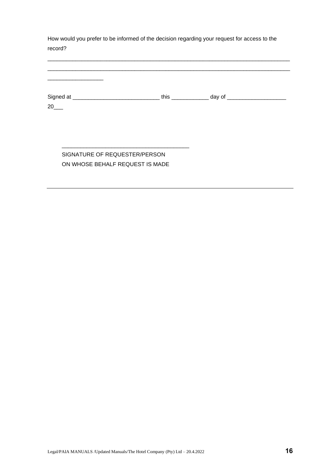How would you prefer to be informed of the decision regarding your request for access to the record?

\_\_\_\_\_\_\_\_\_\_\_\_\_\_\_\_\_\_\_\_\_\_\_\_\_\_\_\_\_\_\_\_\_\_\_\_\_\_\_\_\_\_\_\_\_\_\_\_\_\_\_\_\_\_\_\_\_\_\_\_\_\_\_\_\_\_\_\_\_\_\_\_\_\_\_\_\_\_ \_\_\_\_\_\_\_\_\_\_\_\_\_\_\_\_\_\_\_\_\_\_\_\_\_\_\_\_\_\_\_\_\_\_\_\_\_\_\_\_\_\_\_\_\_\_\_\_\_\_\_\_\_\_\_\_\_\_\_\_\_\_\_\_\_\_\_\_\_\_\_\_\_\_\_\_\_\_

| Signed at | this | day of |
|-----------|------|--------|
| 20        |      |        |

## SIGNATURE OF REQUESTER/PERSON ON WHOSE BEHALF REQUEST IS MADE

\_\_\_\_\_\_\_\_\_\_\_\_\_\_\_\_\_\_\_\_\_\_\_\_\_\_\_\_\_\_\_\_\_\_\_\_\_\_\_\_\_

\_\_\_\_\_\_\_\_\_\_\_\_\_\_\_\_\_\_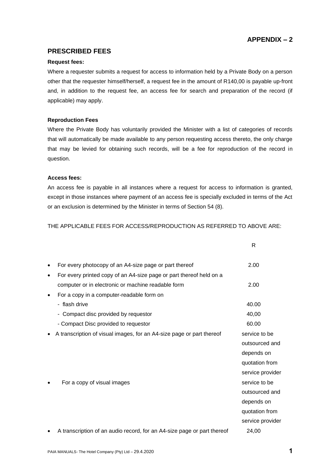## **APPENDIX – 2**

## **PRESCRIBED FEES**

#### **Request fees:**

Where a requester submits a request for access to information held by a Private Body on a person other that the requester himself/herself, a request fee in the amount of R140,00 is payable up-front and, in addition to the request fee, an access fee for search and preparation of the record (if applicable) may apply.

#### **Reproduction Fees**

Where the Private Body has voluntarily provided the Minister with a list of categories of records that will automatically be made available to any person requesting access thereto, the only charge that may be levied for obtaining such records, will be a fee for reproduction of the record in question.

#### **Access fees:**

An access fee is payable in all instances where a request for access to information is granted, except in those instances where payment of an access fee is specially excluded in terms of the Act or an exclusion is determined by the Minister in terms of Section 54 (8).

THE APPLICABLE FEES FOR ACCESS/REPRODUCTION AS REFERRED TO ABOVE ARE:

|           |                                                                         | R                |
|-----------|-------------------------------------------------------------------------|------------------|
|           | For every photocopy of an A4-size page or part thereof                  | 2.00             |
| $\bullet$ | For every printed copy of an A4-size page or part thereof held on a     |                  |
|           | computer or in electronic or machine readable form                      | 2.00             |
|           | For a copy in a computer-readable form on                               |                  |
|           | - flash drive                                                           | 40.00            |
|           | - Compact disc provided by requestor                                    | 40,00            |
|           | - Compact Disc provided to requestor                                    | 60.00            |
|           | A transcription of visual images, for an A4-size page or part thereof   | service to be    |
|           |                                                                         | outsourced and   |
|           |                                                                         | depends on       |
|           |                                                                         | quotation from   |
|           |                                                                         | service provider |
|           | For a copy of visual images                                             | service to be    |
|           |                                                                         | outsourced and   |
|           |                                                                         | depends on       |
|           |                                                                         | quotation from   |
|           |                                                                         | service provider |
|           | A transcription of an audio record, for an A4-size page or part thereof | 24,00            |
|           |                                                                         |                  |